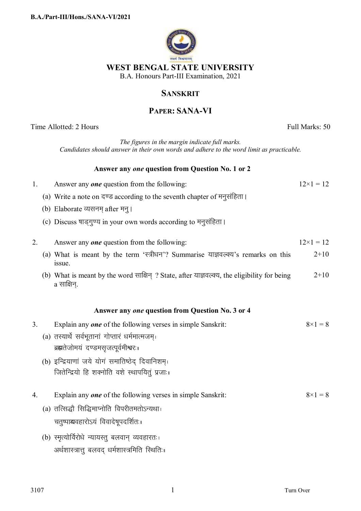

## **SANSKRIT**

## **PAPER: SANA-VI**

Time Allotted: 2 Hours Full Marks: 50 *The figures in the margin indicate full marks. Candidates should answer in their own words and adhere to the word limit as practicable.* **Answer any** *one* **question from Question No. 1 or 2**  1. Answer any *one* question from the following:  $12 \times 1 = 12$ (a) Write a note on दण्ड according to the seventh chapter of मनुसंहिता। (b) Elaborate व्यसनम after मन् । (c) Discuss षाड्गुण्य in your own words according to मनुसंहिता। 2. Answer any *one* question from the following:  $12 \times 1 = 12$ (a) What is meant by the term 'स्त्रीधन'? Summarise याज्ञवल्क्य's remarks on this issue.  $2+10$ (b) What is meant by the word साक्षिन ? State, after याज्ञवल्क्य, the eligibility for being  $a$  साक्षिन $\,$  $2+10$ **Answer any** *one* **question from Question No. 3 or 4** 3. Explain any *one* of the following verses in simple Sanskrit:  $8 \times 1 = 8$  $(a)$  तस्यार्थे सर्वभुतानां गोप्तारं धर्ममात्मजम ब्रह्मतेजोमयं दण्डमसृजत्पूर्वमीश्वरः । (b) इन्द्रियाणां जये योगं समातिष्ठेद दिवानिशम्। जितेन्द्रियो हि शक्नोति वशे स्थापयितुं प्रजाः । 4. Explain any *one* of the following verses in simple Sanskrit:  $8 \times 1 = 8$  $(a)$  तत्सिद्धौ सिद्धिमाप्नोति विपरीतमतोऽन्यथा। चतुष्पाद्यवहारोऽयं विवादेषुपदर्शितः ।  $(b)$  स्मृत्योर्विरोधे न्यायस्तु बलवान् व्यवहारतः। अर्थशास्त्रात्तु बलवद् धर्मशास्त्रमिति स्थितिः ।